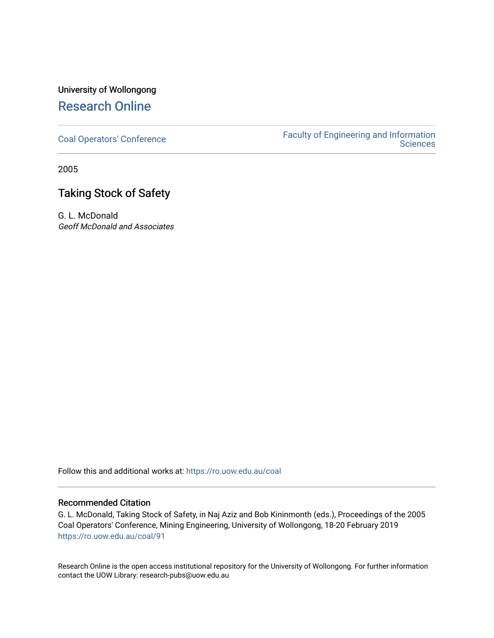# University of Wollongong [Research Online](https://ro.uow.edu.au/)

[Coal Operators' Conference](https://ro.uow.edu.au/coal) [Faculty of Engineering and Information](https://ro.uow.edu.au/eis)  **Sciences** 

2005

# Taking Stock of Safety

G. L. McDonald Geoff McDonald and Associates

Follow this and additional works at: [https://ro.uow.edu.au/coal](https://ro.uow.edu.au/coal?utm_source=ro.uow.edu.au%2Fcoal%2F91&utm_medium=PDF&utm_campaign=PDFCoverPages) 

## Recommended Citation

G. L. McDonald, Taking Stock of Safety, in Naj Aziz and Bob Kininmonth (eds.), Proceedings of the 2005 Coal Operators' Conference, Mining Engineering, University of Wollongong, 18-20 February 2019 [https://ro.uow.edu.au/coal/91](https://ro.uow.edu.au/coal/91?utm_source=ro.uow.edu.au%2Fcoal%2F91&utm_medium=PDF&utm_campaign=PDFCoverPages) 

Research Online is the open access institutional repository for the University of Wollongong. For further information contact the UOW Library: research-pubs@uow.edu.au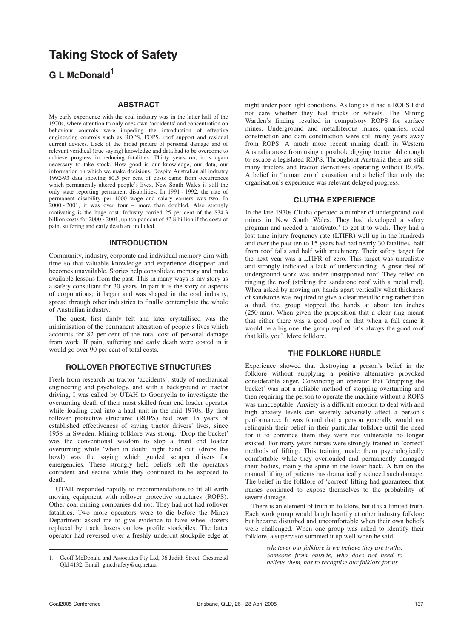## **Taking Stock of Safety**

**G L McDonald<sup>1</sup>**

## **ABSTRACT**

My early experience with the coal industry was in the latter half of the 1970s, where attention to only ones own 'accidents' and concentration on behaviour controls were impeding the introduction of effective engineering controls such as ROPS, FOPS, roof support and residual current devices. Lack of the broad picture of personal damage and of relevant veridical (true saying) knowledge and data had to be overcome to achieve progress in reducing fatalities. Thirty years on, it is again necessary to take stock. How good is our knowledge, our data, our information on which we make decisions. Despite Australian all industry 1992-93 data showing 80.5 per cent of costs came from occurrences which permanently altered people's lives, New South Wales is still the only state reporting permanent disabilities. In 1991 - 1992, the rate of permanent disability per 1000 wage and salary earners was two. In 2000 - 2001, it was over four – more than doubled. Also strongly motivating is the huge cost. Industry carried 25 per cent of the \$34.3 billion costs for 2000 - 2001, up ten per cent of 82.8 billion if the costs of pain, suffering and early death are included.

#### **INTRODUCTION**

Community, industry, corporate and individual memory dim with time so that valuable knowledge and experience disappear and becomes unavailable. Stories help consolidate memory and make available lessons from the past. This in many ways is my story as a safety consultant for 30 years. In part it is the story of aspects of corporations; it began and was shaped in the coal industry, spread through other industries to finally contemplate the whole of Australian industry.

The quest, first dimly felt and later crystallised was the minimisation of the permanent alteration of people's lives which accounts for 82 per cent of the total cost of personal damage from work. If pain, suffering and early death were costed in it would go over 90 per cent of total costs.

## **ROLLOVER PROTECTIVE STRUCTURES**

Fresh from research on tractor 'accidents', study of mechanical engineering and psychology, and with a background of tractor driving, I was called by UTAH to Goonyella to investigate the overturning death of their most skilled front end loader operator while loading coal into a haul unit in the mid 1970s. By then rollover protective structures (ROPS) had over 15 years of established effectiveness of saving tractor drivers' lives, since 1958 in Sweden. Mining folklore was strong. 'Drop the bucket' was the conventional wisdom to stop a front end loader overturning while 'when in doubt, right hand out' (drops the bowl) was the saying which guided scraper drivers for emergencies. These strongly held beliefs left the operators confident and secure while they continued to be exposed to death.

UTAH responded rapidly to recommendations to fit all earth moving equipment with rollover protective structures (ROPS). Other coal mining companies did not. They had not had rollover fatalities. Two more operators were to die before the Mines Department asked me to give evidence to have wheel dozers replaced by track dozers on low profile stockpiles. The latter operator had reversed over a freshly undercut stockpile edge at

night under poor light conditions. As long as it had a ROPS I did not care whether they had tracks or wheels. The Mining Warden's finding resulted in compulsory ROPS for surface mines. Underground and metalliferous mines, quarries, road construction and dam construction were still many years away from ROPS. A much more recent mining death in Western Australia arose from using a posthole digging tractor old enough to escape a legislated ROPS. Throughout Australia there are still many tractors and tractor derivatives operating without ROPS. A belief in 'human error' causation and a belief that only the organisation's experience was relevant delayed progress.

### **CLUTHA EXPERIENCE**

In the late 1970s Clutha operated a number of underground coal mines in New South Wales. They had developed a safety program and needed a 'motivator' to get it to work. They had a lost time injury frequency rate (LTIFR) well up in the hundreds and over the past ten to 15 years had had nearly 30 fatalities, half from roof falls and half with machinery. Their safety target for the next year was a LTIFR of zero. This target was unrealistic and strongly indicated a lack of understanding. A great deal of underground work was under unsupported roof. They relied on ringing the roof (striking the sandstone roof with a metal rod). When asked by moving my hands apart vertically what thickness of sandstone was required to give a clear metallic ring rather than a thud, the group stopped the hands at about ten inches (250 mm). When given the proposition that a clear ring meant that either there was a good roof or that when a fall came it would be a big one, the group replied 'it's always the good roof that kills you'. More folklore.

## **THE FOLKLORE HURDLE**

Experience showed that destroying a person's belief in the folklore without supplying a positive alternative provoked considerable anger. Convincing an operator that 'dropping the bucket' was not a reliable method of stopping overturning and then requiring the person to operate the machine without a ROPS was unacceptable. Anxiety is a difficult emotion to deal with and high anxiety levels can severely adversely affect a person's performance. It was found that a person generally would not relinquish their belief in their particular folklore until the need for it to convince them they were not vulnerable no longer existed. For many years nurses were strongly trained in 'correct' methods of lifting. This training made them psychologically comfortable while they overloaded and permanently damaged their bodies, mainly the spine in the lower back. A ban on the manual lifting of patients has dramatically reduced such damage. The belief in the folklore of 'correct' lifting had guaranteed that nurses continued to expose themselves to the probability of severe damage.

There is an element of truth in folklore, but it is a limited truth. Each work group would laugh heartily at other industry folklore but became disturbed and uncomfortable when their own beliefs were challenged. When one group was asked to identify their folklore, a supervisor summed it up well when he said:

> *whatever our folklore is we believe they are truths. Someone from outside, who does not need to believe them, has to recognise our folklore for us.*

<sup>1.</sup> Geoff McDonald and Associates Pty Ltd, 36 Judith Street, Crestmead Qld 4132. Email: gmcdsafety@uq.net.au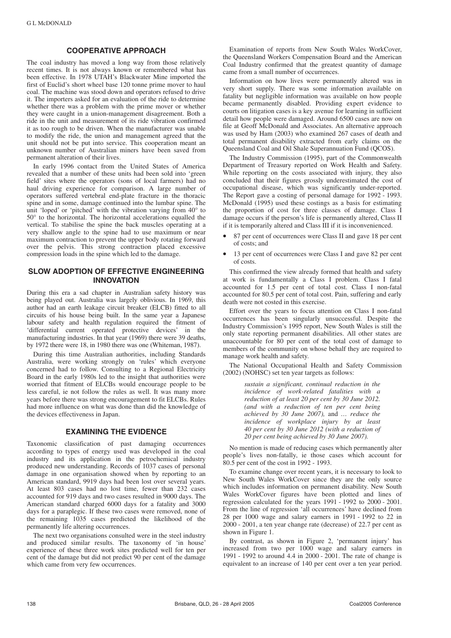### **COOPERATIVE APPROACH**

The coal industry has moved a long way from those relatively recent times. It is not always known or remembered what has been effective. In 1978 UTAH's Blackwater Mine imported the first of Euclid's short wheel base 120 tonne prime mover to haul coal. The machine was stood down and operators refused to drive it. The importers asked for an evaluation of the ride to determine whether there was a problem with the prime mover or whether they were caught in a union-management disagreement. Both a ride in the unit and measurement of its ride vibration confirmed it as too rough to be driven. When the manufacturer was unable to modify the ride, the union and management agreed that the unit should not be put into service. This cooperation meant an unknown number of Australian miners have been saved from permanent alteration of their lives.

In early 1996 contact from the United States of America revealed that a number of these units had been sold into 'green field' sites where the operators (sons of local farmers) had no haul driving experience for comparison. A large number of operators suffered vertebral end-plate fracture in the thoracic spine and in some, damage continued into the lumbar spine. The unit 'loped' or 'pitched' with the vibration varying from 40° to 50° to the horizontal. The horizontal accelerations equalled the vertical. To stabilise the spine the back muscles operating at a very shallow angle to the spine had to use maximum or near maximum contraction to prevent the upper body rotating forward over the pelvis. This strong contraction placed excessive compression loads in the spine which led to the damage.

## **SLOW ADOPTION OF EFFECTIVE ENGINEERING INNOVATION**

During this era a sad chapter in Australian safety history was being played out. Australia was largely oblivious. In 1969, this author had an earth leakage circuit breaker (ELCB) fitted to all circuits of his house being built. In the same year a Japanese labour safety and health regulation required the fitment of 'differential current operated protective devices' in the manufacturing industries. In that year (1969) there were 39 deaths, by 1972 there were 18, in 1980 there was one (Whiteman, 1987).

During this time Australian authorities, including Standards Australia, were working strongly on 'rules' which everyone concerned had to follow. Consulting to a Regional Electricity Board in the early 1980s led to the insight that authorities were worried that fitment of ELCBs would encourage people to be less careful, ie not follow the rules as well. It was many more years before there was strong encouragement to fit ELCBs. Rules had more influence on what was done than did the knowledge of the devices effectiveness in Japan.

### **EXAMINING THE EVIDENCE**

Taxonomic classification of past damaging occurrences according to types of energy used was developed in the coal industry and its application in the petrochemical industry produced new understanding. Records of 1037 cases of personal damage in one organisation showed when by reporting to an American standard, 9919 days had been lost over several years. At least 803 cases had no lost time, fewer than 232 cases accounted for 919 days and two cases resulted in 9000 days. The American standard charged 6000 days for a fatality and 3000 days for a paraplegic. If these two cases were removed, none of the remaining 1035 cases predicted the likelihood of the permanently life altering occurrences.

The next two organisations consulted were in the steel industry and produced similar results. The taxonomy of 'in house' experience of these three work sites predicted well for ten per cent of the damage but did not predict 90 per cent of the damage which came from very few occurrences.

Examination of reports from New South Wales WorkCover, the Queensland Workers Compensation Board and the American Coal Industry confirmed that the greatest quantity of damage came from a small number of occurrences.

Information on how lives were permanently altered was in very short supply. There was some information available on fatality but negligible information was available on how people became permanently disabled. Providing expert evidence to courts on litigation cases is a key avenue for learning in sufficient detail how people were damaged. Around 6500 cases are now on file at Geoff McDonald and Associates. An alternative approach was used by Ham (2003) who examined 267 cases of death and total permanent disability extracted from early claims on the Queensland Coal and Oil Shale Superannuation Fund (QCOS).

The Industry Commission (1995), part of the Commonwealth Department of Treasury reported on Work Health and Safety. While reporting on the costs associated with injury, they also concluded that their figures grossly underestimated the cost of occupational disease, which was significantly under-reported. The Report gave a costing of personal damage for 1992 - 1993. McDonald (1995) used these costings as a basis for estimating the proportion of cost for three classes of damage. Class I damage occurs if the person's life is permanently altered, Class II if it is temporarily altered and Class III if it is inconvenienced.

- 87 per cent of occurrences were Class II and gave 18 per cent of costs; and
- 13 per cent of occurrences were Class I and gave 82 per cent of costs.

This confirmed the view already formed that health and safety at work is fundamentally a Class I problem. Class I fatal accounted for 1.5 per cent of total cost. Class I non-fatal accounted for 80.5 per cent of total cost. Pain, suffering and early death were not costed in this exercise.

Effort over the years to focus attention on Class I non-fatal occurrences has been singularly unsuccessful. Despite the Industry Commission's 1995 report, New South Wales is still the only state reporting permanent disabilities. All other states are unaccountable for 80 per cent of the total cost of damage to members of the community on whose behalf they are required to manage work health and safety.

The National Occupational Health and Safety Commission (2002) (NOHSC) set ten year targets as follows:

> *sustain a significant, continual reduction in the incidence of work-related fatalities with a reduction of at least 20 per cent by 30 June 2012. (and with a reduction of ten per cent being achieved by 30 June 2007),* and *… reduce the incidence of workplace injury by at least 40 per cent by 30 June 2012 (with a reduction of 20 per cent being achieved by 30 June 2007).*

No mention is made of reducing cases which permanently alter people's lives non-fatally, ie those cases which account for 80.5 per cent of the cost in 1992 - 1993.

To examine change over recent years, it is necessary to look to New South Wales WorkCover since they are the only source which includes information on permanent disability. New South Wales WorkCover figures have been plotted and lines of regression calculated for the years 1991 - 1992 to 2000 - 2001. From the line of regression 'all occurrences' have declined from 28 per 1000 wage and salary earners in 1991 - 1992 to 22 in 2000 - 2001, a ten year change rate (decrease) of 22.7 per cent as shown in Figure 1.

By contrast, as shown in Figure 2, 'permanent injury' has increased from two per 1000 wage and salary earners in 1991 - 1992 to around 4.4 in 2000 - 2001. The rate of change is equivalent to an increase of 140 per cent over a ten year period.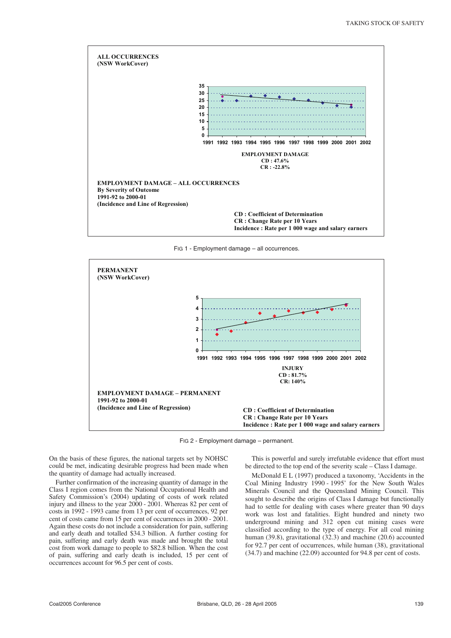

FIG 1 - Employment damage – all occurrences.



FIG 2 - Employment damage – permanent.

On the basis of these figures, the national targets set by NOHSC could be met, indicating desirable progress had been made when the quantity of damage had actually increased.

Further confirmation of the increasing quantity of damage in the Class I region comes from the National Occupational Health and Safety Commission's (2004) updating of costs of work related injury and illness to the year 2000 - 2001. Whereas 82 per cent of costs in 1992 - 1993 came from 13 per cent of occurrences, 92 per cent of costs came from 15 per cent of occurrences in 2000 - 2001. Again these costs do not include a consideration for pain, suffering and early death and totalled \$34.3 billion. A further costing for pain, suffering and early death was made and brought the total cost from work damage to people to \$82.8 billion. When the cost of pain, suffering and early death is included, 15 per cent of occurrences account for 96.5 per cent of costs.

This is powerful and surely irrefutable evidence that effort must be directed to the top end of the severity scale – Class I damage.

McDonald E L (1997) produced a taxonomy, 'Accidents in the Coal Mining Industry 1990 - 1995' for the New South Wales Minerals Council and the Queensland Mining Council. This sought to describe the origins of Class I damage but functionally had to settle for dealing with cases where greater than 90 days work was lost and fatalities. Eight hundred and ninety two underground mining and 312 open cut mining cases were classified according to the type of energy. For all coal mining human (39.8), gravitational (32.3) and machine (20.6) accounted for 92.7 per cent of occurrences, while human (38), gravitational (34.7) and machine (22.09) accounted for 94.8 per cent of costs.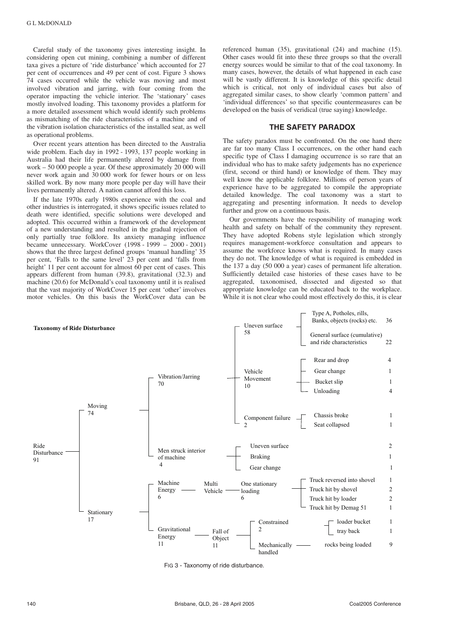Careful study of the taxonomy gives interesting insight. In considering open cut mining, combining a number of different taxa gives a picture of 'ride disturbance' which accounted for 27 per cent of occurrences and 49 per cent of cost. Figure 3 shows 74 cases occurred while the vehicle was moving and most involved vibration and jarring, with four coming from the operator impacting the vehicle interior. The 'stationary' cases mostly involved loading. This taxonomy provides a platform for a more detailed assessment which would identify such problems as mismatching of the ride characteristics of a machine and of the vibration isolation characteristics of the installed seat, as well as operational problems.

Over recent years attention has been directed to the Australia wide problem. Each day in 1992 - 1993, 137 people working in Australia had their life permanently altered by damage from work – 50 000 people a year. Of these approximately 20 000 will never work again and 30 000 work for fewer hours or on less skilled work. By now many more people per day will have their lives permanently altered. A nation cannot afford this loss.

If the late 1970s early 1980s experience with the coal and other industries is interrogated, it shows specific issues related to death were identified, specific solutions were developed and adopted. This occurred within a framework of the development of a new understanding and resulted in the gradual rejection of only partially true folklore. Its anxiety managing influence became unnecessary. WorkCover (1998 - 1999 – 2000 - 2001) shows that the three largest defined groups 'manual handling' 35 per cent, 'Falls to the same level' 23 per cent and 'falls from height' 11 per cent account for almost 60 per cent of cases. This appears different from human (39.8), gravitational (32.3) and machine (20.6) for McDonald's coal taxonomy until it is realised that the vast majority of WorkCover 15 per cent 'other' involves motor vehicles. On this basis the WorkCover data can be referenced human (35), gravitational (24) and machine (15). Other cases would fit into these three groups so that the overall energy sources would be similar to that of the coal taxonomy. In many cases, however, the details of what happened in each case will be vastly different. It is knowledge of this specific detail which is critical, not only of individual cases but also of aggregated similar cases, to show clearly 'common pattern' and 'individual differences' so that specific countermeasures can be developed on the basis of veridical (true saying) knowledge.

## **THE SAFETY PARADOX**

The safety paradox must be confronted. On the one hand there are far too many Class I occurrences, on the other hand each specific type of Class I damaging occurrence is so rare that an individual who has to make safety judgements has no experience (first, second or third hand) or knowledge of them. They may well know the applicable folklore. Millions of person years of experience have to be aggregated to compile the appropriate detailed knowledge. The coal taxonomy was a start to aggregating and presenting information. It needs to develop further and grow on a continuous basis.

Our governments have the responsibility of managing work health and safety on behalf of the community they represent. They have adopted Robens style legislation which strongly requires management-workforce consultation and appears to assume the workforce knows what is required. In many cases they do not. The knowledge of what is required is embedded in the 137 a day (50 000 a year) cases of permanent life alteration. Sufficiently detailed case histories of these cases have to be aggregated, taxonomised, dissected and digested so that appropriate knowledge can be educated back to the workplace. While it is not clear who could most effectively do this, it is clear



FIG 3 - Taxonomy of ride disturbance.